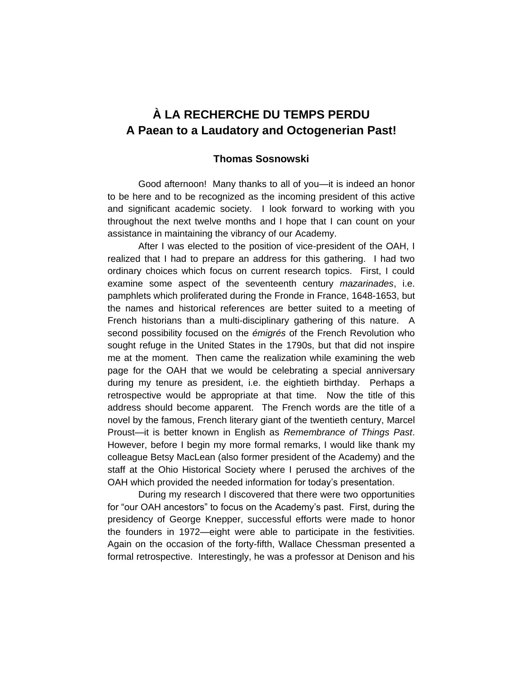# **À LA RECHERCHE DU TEMPS PERDU A Paean to a Laudatory and Octogenerian Past!**

## **Thomas Sosnowski**

Good afternoon! Many thanks to all of you—it is indeed an honor to be here and to be recognized as the incoming president of this active and significant academic society. I look forward to working with you throughout the next twelve months and I hope that I can count on your assistance in maintaining the vibrancy of our Academy.

After I was elected to the position of vice-president of the OAH, I realized that I had to prepare an address for this gathering. I had two ordinary choices which focus on current research topics. First, I could examine some aspect of the seventeenth century *mazarinades*, i.e. pamphlets which proliferated during the Fronde in France, 1648-1653, but the names and historical references are better suited to a meeting of French historians than a multi-disciplinary gathering of this nature. A second possibility focused on the *émigrés* of the French Revolution who sought refuge in the United States in the 1790s, but that did not inspire me at the moment. Then came the realization while examining the web page for the OAH that we would be celebrating a special anniversary during my tenure as president, i.e. the eightieth birthday. Perhaps a retrospective would be appropriate at that time. Now the title of this address should become apparent. The French words are the title of a novel by the famous, French literary giant of the twentieth century, Marcel Proust—it is better known in English as *Remembrance of Things Past*. However, before I begin my more formal remarks, I would like thank my colleague Betsy MacLean (also former president of the Academy) and the staff at the Ohio Historical Society where I perused the archives of the OAH which provided the needed information for today's presentation.

During my research I discovered that there were two opportunities for "our OAH ancestors" to focus on the Academy's past. First, during the presidency of George Knepper, successful efforts were made to honor the founders in 1972—eight were able to participate in the festivities. Again on the occasion of the forty-fifth, Wallace Chessman presented a formal retrospective. Interestingly, he was a professor at Denison and his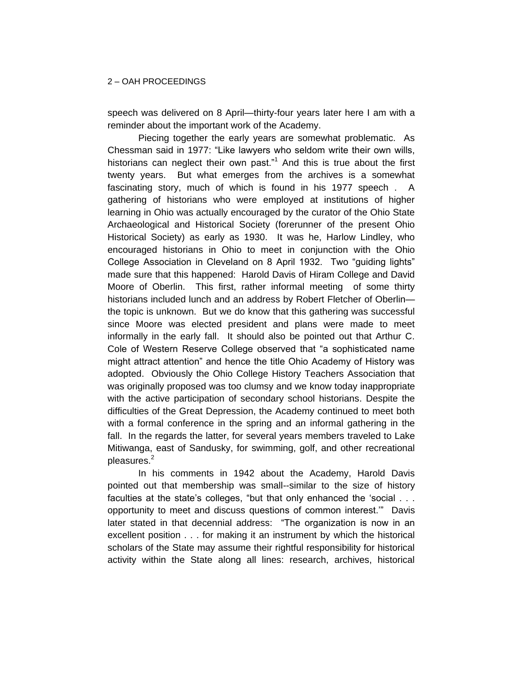speech was delivered on 8 April—thirty-four years later here I am with a reminder about the important work of the Academy.

Piecing together the early years are somewhat problematic. As Chessman said in 1977: "Like lawyers who seldom write their own wills, historians can neglect their own past."<sup>1</sup> And this is true about the first twenty years. But what emerges from the archives is a somewhat fascinating story, much of which is found in his 1977 speech . A gathering of historians who were employed at institutions of higher learning in Ohio was actually encouraged by the curator of the Ohio State Archaeological and Historical Society (forerunner of the present Ohio Historical Society) as early as 1930. It was he, Harlow Lindley, who encouraged historians in Ohio to meet in conjunction with the Ohio College Association in Cleveland on 8 April 1932. Two "guiding lights" made sure that this happened: Harold Davis of Hiram College and David Moore of Oberlin. This first, rather informal meeting of some thirty historians included lunch and an address by Robert Fletcher of Oberlin the topic is unknown. But we do know that this gathering was successful since Moore was elected president and plans were made to meet informally in the early fall. It should also be pointed out that Arthur C. Cole of Western Reserve College observed that "a sophisticated name might attract attention" and hence the title Ohio Academy of History was adopted. Obviously the Ohio College History Teachers Association that was originally proposed was too clumsy and we know today inappropriate with the active participation of secondary school historians. Despite the difficulties of the Great Depression, the Academy continued to meet both with a formal conference in the spring and an informal gathering in the fall. In the regards the latter, for several years members traveled to Lake Mitiwanga, east of Sandusky, for swimming, golf, and other recreational pleasures.<sup>2</sup>

In his comments in 1942 about the Academy, Harold Davis pointed out that membership was small--similar to the size of history faculties at the state's colleges, "but that only enhanced the 'social . . . opportunity to meet and discuss questions of common interest.'" Davis later stated in that decennial address: "The organization is now in an excellent position . . . for making it an instrument by which the historical scholars of the State may assume their rightful responsibility for historical activity within the State along all lines: research, archives, historical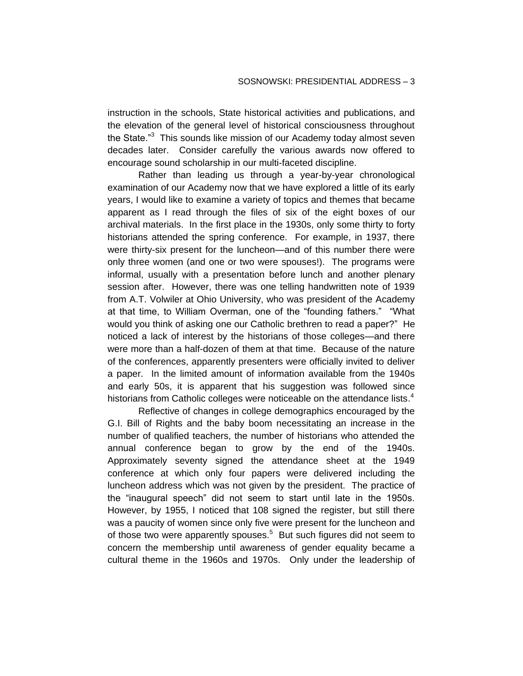instruction in the schools, State historical activities and publications, and the elevation of the general level of historical consciousness throughout the State."<sup>3</sup> This sounds like mission of our Academy today almost seven decades later. Consider carefully the various awards now offered to encourage sound scholarship in our multi-faceted discipline.

Rather than leading us through a year-by-year chronological examination of our Academy now that we have explored a little of its early years, I would like to examine a variety of topics and themes that became apparent as I read through the files of six of the eight boxes of our archival materials. In the first place in the 1930s, only some thirty to forty historians attended the spring conference. For example, in 1937, there were thirty-six present for the luncheon—and of this number there were only three women (and one or two were spouses!). The programs were informal, usually with a presentation before lunch and another plenary session after. However, there was one telling handwritten note of 1939 from A.T. Volwiler at Ohio University, who was president of the Academy at that time, to William Overman, one of the "founding fathers." "What would you think of asking one our Catholic brethren to read a paper?" He noticed a lack of interest by the historians of those colleges—and there were more than a half-dozen of them at that time. Because of the nature of the conferences, apparently presenters were officially invited to deliver a paper. In the limited amount of information available from the 1940s and early 50s, it is apparent that his suggestion was followed since historians from Catholic colleges were noticeable on the attendance lists. $4$ 

Reflective of changes in college demographics encouraged by the G.I. Bill of Rights and the baby boom necessitating an increase in the number of qualified teachers, the number of historians who attended the annual conference began to grow by the end of the 1940s. Approximately seventy signed the attendance sheet at the 1949 conference at which only four papers were delivered including the luncheon address which was not given by the president. The practice of the "inaugural speech" did not seem to start until late in the 1950s. However, by 1955, I noticed that 108 signed the register, but still there was a paucity of women since only five were present for the luncheon and of those two were apparently spouses.<sup>5</sup> But such figures did not seem to concern the membership until awareness of gender equality became a cultural theme in the 1960s and 1970s. Only under the leadership of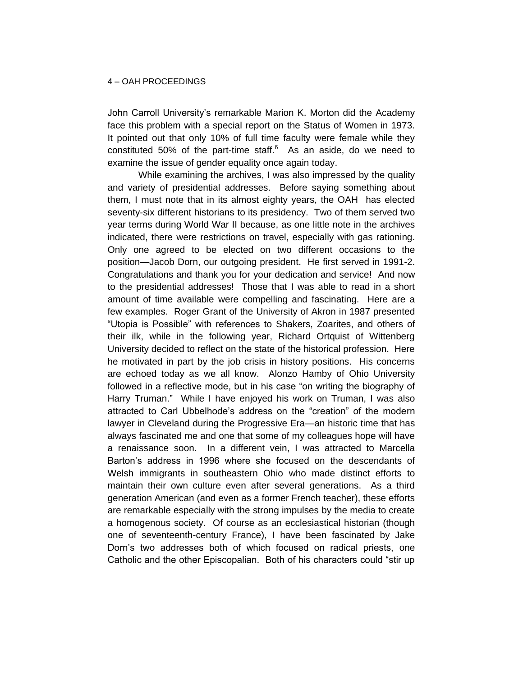John Carroll University's remarkable Marion K. Morton did the Academy face this problem with a special report on the Status of Women in 1973. It pointed out that only 10% of full time faculty were female while they constituted 50% of the part-time staff. $6$  As an aside, do we need to examine the issue of gender equality once again today.

While examining the archives, I was also impressed by the quality and variety of presidential addresses. Before saying something about them, I must note that in its almost eighty years, the OAH has elected seventy-six different historians to its presidency. Two of them served two year terms during World War II because, as one little note in the archives indicated, there were restrictions on travel, especially with gas rationing. Only one agreed to be elected on two different occasions to the position—Jacob Dorn, our outgoing president. He first served in 1991-2. Congratulations and thank you for your dedication and service! And now to the presidential addresses! Those that I was able to read in a short amount of time available were compelling and fascinating. Here are a few examples. Roger Grant of the University of Akron in 1987 presented "Utopia is Possible" with references to Shakers, Zoarites, and others of their ilk, while in the following year, Richard Ortquist of Wittenberg University decided to reflect on the state of the historical profession. Here he motivated in part by the job crisis in history positions. His concerns are echoed today as we all know. Alonzo Hamby of Ohio University followed in a reflective mode, but in his case "on writing the biography of Harry Truman." While I have enjoyed his work on Truman, I was also attracted to Carl Ubbelhode's address on the "creation" of the modern lawyer in Cleveland during the Progressive Era—an historic time that has always fascinated me and one that some of my colleagues hope will have a renaissance soon. In a different vein, I was attracted to Marcella Barton's address in 1996 where she focused on the descendants of Welsh immigrants in southeastern Ohio who made distinct efforts to maintain their own culture even after several generations. As a third generation American (and even as a former French teacher), these efforts are remarkable especially with the strong impulses by the media to create a homogenous society. Of course as an ecclesiastical historian (though one of seventeenth-century France), I have been fascinated by Jake Dorn's two addresses both of which focused on radical priests, one Catholic and the other Episcopalian. Both of his characters could "stir up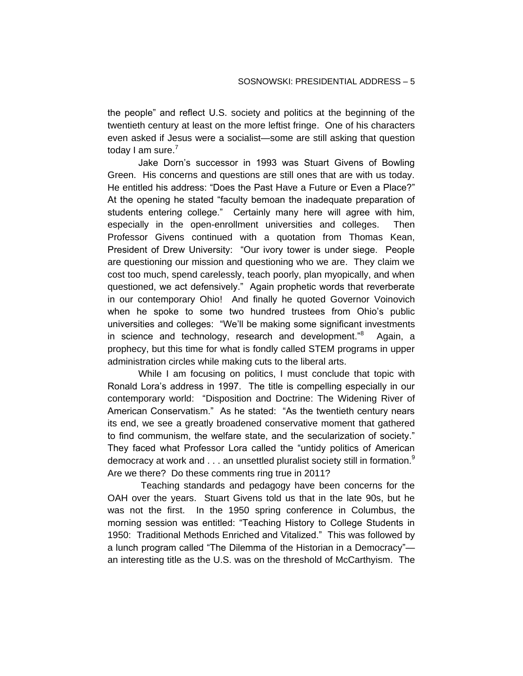the people" and reflect U.S. society and politics at the beginning of the twentieth century at least on the more leftist fringe. One of his characters even asked if Jesus were a socialist—some are still asking that question today I am sure.<sup>7</sup>

Jake Dorn's successor in 1993 was Stuart Givens of Bowling Green. His concerns and questions are still ones that are with us today. He entitled his address: "Does the Past Have a Future or Even a Place?" At the opening he stated "faculty bemoan the inadequate preparation of students entering college." Certainly many here will agree with him, especially in the open-enrollment universities and colleges. Then Professor Givens continued with a quotation from Thomas Kean, President of Drew University: "Our ivory tower is under siege. People are questioning our mission and questioning who we are. They claim we cost too much, spend carelessly, teach poorly, plan myopically, and when questioned, we act defensively." Again prophetic words that reverberate in our contemporary Ohio! And finally he quoted Governor Voinovich when he spoke to some two hundred trustees from Ohio's public universities and colleges: "We'll be making some significant investments in science and technology, research and development.<sup>"8</sup> Again, a prophecy, but this time for what is fondly called STEM programs in upper administration circles while making cuts to the liberal arts.

While I am focusing on politics, I must conclude that topic with Ronald Lora's address in 1997. The title is compelling especially in our contemporary world: "Disposition and Doctrine: The Widening River of American Conservatism." As he stated: "As the twentieth century nears its end, we see a greatly broadened conservative moment that gathered to find communism, the welfare state, and the secularization of society." They faced what Professor Lora called the "untidy politics of American democracy at work and  $\ldots$  an unsettled pluralist society still in formation.<sup>9</sup> Are we there? Do these comments ring true in 2011?

Teaching standards and pedagogy have been concerns for the OAH over the years. Stuart Givens told us that in the late 90s, but he was not the first. In the 1950 spring conference in Columbus, the morning session was entitled: "Teaching History to College Students in 1950: Traditional Methods Enriched and Vitalized." This was followed by a lunch program called "The Dilemma of the Historian in a Democracy" an interesting title as the U.S. was on the threshold of McCarthyism. The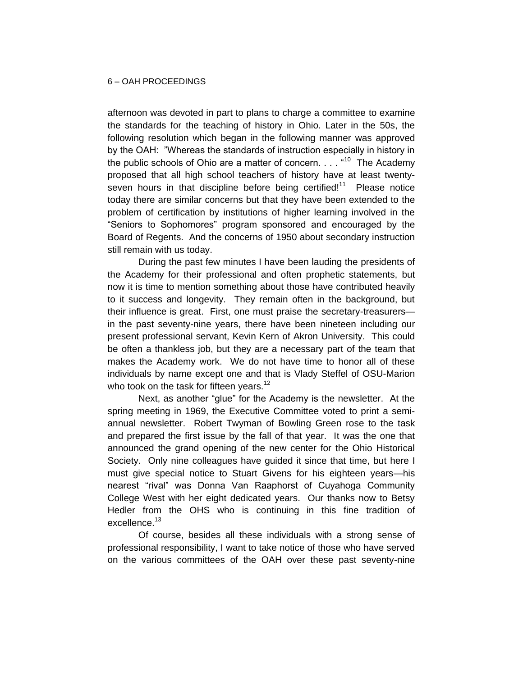afternoon was devoted in part to plans to charge a committee to examine the standards for the teaching of history in Ohio. Later in the 50s, the following resolution which began in the following manner was approved by the OAH: "Whereas the standards of instruction especially in history in the public schools of Ohio are a matter of concern.  $\dots$   $410$  The Academy proposed that all high school teachers of history have at least twentyseven hours in that discipline before being certified!<sup>11</sup> Please notice today there are similar concerns but that they have been extended to the problem of certification by institutions of higher learning involved in the "Seniors to Sophomores" program sponsored and encouraged by the Board of Regents. And the concerns of 1950 about secondary instruction still remain with us today.

During the past few minutes I have been lauding the presidents of the Academy for their professional and often prophetic statements, but now it is time to mention something about those have contributed heavily to it success and longevity. They remain often in the background, but their influence is great. First, one must praise the secretary-treasurers in the past seventy-nine years, there have been nineteen including our present professional servant, Kevin Kern of Akron University. This could be often a thankless job, but they are a necessary part of the team that makes the Academy work. We do not have time to honor all of these individuals by name except one and that is Vlady Steffel of OSU-Marion who took on the task for fifteen years.<sup>12</sup>

Next, as another "glue" for the Academy is the newsletter. At the spring meeting in 1969, the Executive Committee voted to print a semiannual newsletter. Robert Twyman of Bowling Green rose to the task and prepared the first issue by the fall of that year. It was the one that announced the grand opening of the new center for the Ohio Historical Society. Only nine colleagues have guided it since that time, but here I must give special notice to Stuart Givens for his eighteen years—his nearest "rival" was Donna Van Raaphorst of Cuyahoga Community College West with her eight dedicated years. Our thanks now to Betsy Hedler from the OHS who is continuing in this fine tradition of excellence.<sup>13</sup>

Of course, besides all these individuals with a strong sense of professional responsibility, I want to take notice of those who have served on the various committees of the OAH over these past seventy-nine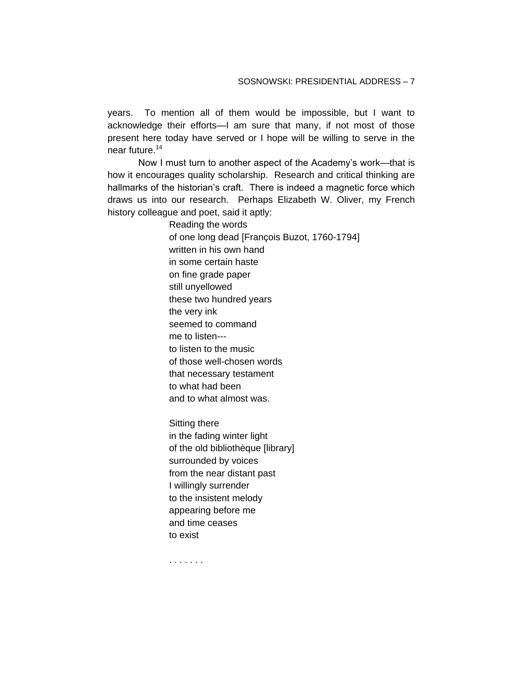years. To mention all of them would be impossible, but I want to acknowledge their efforts—I am sure that many, if not most of those present here today have served or I hope will be willing to serve in the near future.<sup>14</sup>

Now I must turn to another aspect of the Academy's work—that is how it encourages quality scholarship. Research and critical thinking are hallmarks of the historian's craft. There is indeed a magnetic force which draws us into our research. Perhaps Elizabeth W. Oliver, my French history colleague and poet, said it aptly:

> Reading the words of one long dead [François Buzot, 1760-1794] written in his own hand in some certain haste on fine grade paper still unyellowed these two hundred years the very ink seemed to command me to listen-- to listen to the music of those well-chosen words that necessary testament to what had been and to what almost was.

Sitting there in the fading winter light of the old bibliothèque [library] surrounded by voices from the near distant past I willingly surrender to the insistent melody appearing before me and time ceases to exist

. . . . . . .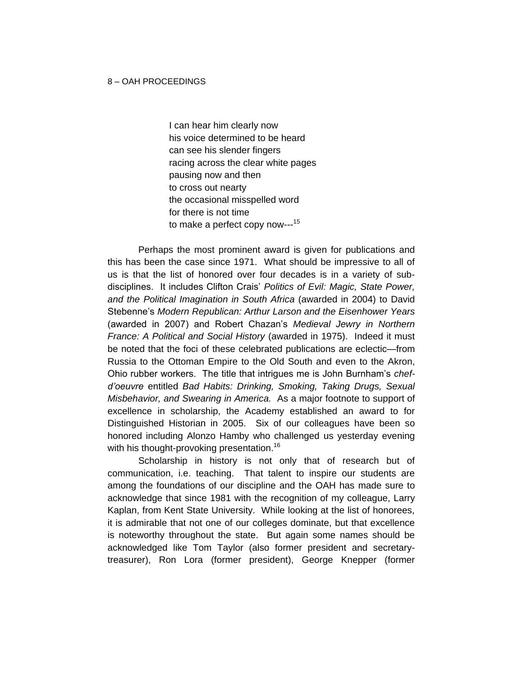I can hear him clearly now his voice determined to be heard can see his slender fingers racing across the clear white pages pausing now and then to cross out nearty the occasional misspelled word for there is not time to make a perfect copy now--- 15

Perhaps the most prominent award is given for publications and this has been the case since 1971. What should be impressive to all of us is that the list of honored over four decades is in a variety of subdisciplines. It includes Clifton Crais' *Politics of Evil: Magic, State Power, and the Political Imagination in South Africa* (awarded in 2004) to David Stebenne's *Modern Republican: Arthur Larson and the Eisenhower Years* (awarded in 2007) and Robert Chazan's *Medieval Jewry in Northern France: A Political and Social History* (awarded in 1975). Indeed it must be noted that the foci of these celebrated publications are eclectic—from Russia to the Ottoman Empire to the Old South and even to the Akron, Ohio rubber workers. The title that intrigues me is John Burnham's *chefd'oeuvre* entitled *Bad Habits: Drinking, Smoking, Taking Drugs, Sexual Misbehavior, and Swearing in America.* As a major footnote to support of excellence in scholarship, the Academy established an award to for Distinguished Historian in 2005. Six of our colleagues have been so honored including Alonzo Hamby who challenged us yesterday evening with his thought-provoking presentation.<sup>16</sup>

Scholarship in history is not only that of research but of communication, i.e. teaching. That talent to inspire our students are among the foundations of our discipline and the OAH has made sure to acknowledge that since 1981 with the recognition of my colleague, Larry Kaplan, from Kent State University. While looking at the list of honorees, it is admirable that not one of our colleges dominate, but that excellence is noteworthy throughout the state. But again some names should be acknowledged like Tom Taylor (also former president and secretarytreasurer), Ron Lora (former president), George Knepper (former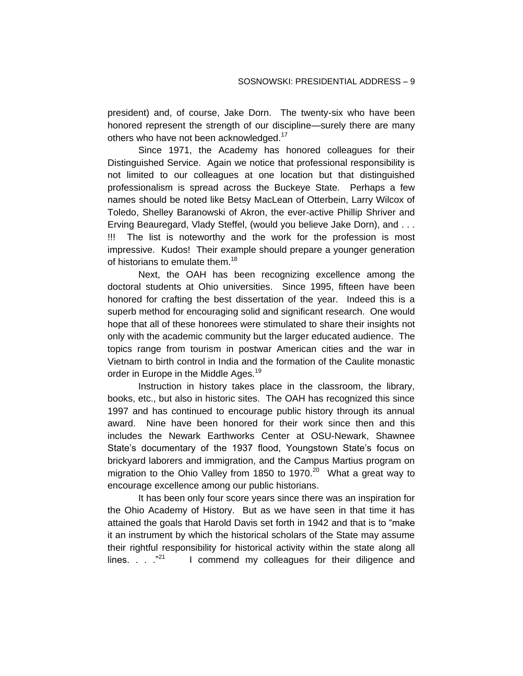president) and, of course, Jake Dorn. The twenty-six who have been honored represent the strength of our discipline—surely there are many others who have not been acknowledged.<sup>17</sup>

Since 1971, the Academy has honored colleagues for their Distinguished Service. Again we notice that professional responsibility is not limited to our colleagues at one location but that distinguished professionalism is spread across the Buckeye State. Perhaps a few names should be noted like Betsy MacLean of Otterbein, Larry Wilcox of Toledo, Shelley Baranowski of Akron, the ever-active Phillip Shriver and Erving Beauregard, Vlady Steffel, (would you believe Jake Dorn), and . . . !!! The list is noteworthy and the work for the profession is most impressive. Kudos! Their example should prepare a younger generation of historians to emulate them.<sup>18</sup>

Next, the OAH has been recognizing excellence among the doctoral students at Ohio universities. Since 1995, fifteen have been honored for crafting the best dissertation of the year. Indeed this is a superb method for encouraging solid and significant research. One would hope that all of these honorees were stimulated to share their insights not only with the academic community but the larger educated audience. The topics range from tourism in postwar American cities and the war in Vietnam to birth control in India and the formation of the Caulite monastic order in Europe in the Middle Ages.<sup>19</sup>

Instruction in history takes place in the classroom, the library, books, etc., but also in historic sites. The OAH has recognized this since 1997 and has continued to encourage public history through its annual award. Nine have been honored for their work since then and this includes the Newark Earthworks Center at OSU-Newark, Shawnee State's documentary of the 1937 flood, Youngstown State's focus on brickyard laborers and immigration, and the Campus Martius program on migration to the Ohio Valley from 1850 to 1970.<sup>20</sup> What a great way to encourage excellence among our public historians.

It has been only four score years since there was an inspiration for the Ohio Academy of History. But as we have seen in that time it has attained the goals that Harold Davis set forth in 1942 and that is to "make it an instrument by which the historical scholars of the State may assume their rightful responsibility for historical activity within the state along all lines. . . ."<sup>21</sup> I commend my colleagues for their diligence and